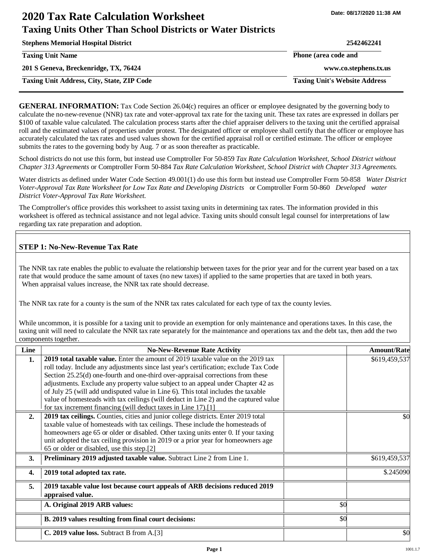# **2020 Tax Rate Calculation Worksheet Taxing Units Other Than School Districts or Water Districts**

| <b>Stephens Memorial Hospital District</b>        | 2542462241                           |
|---------------------------------------------------|--------------------------------------|
| <b>Taxing Unit Name</b>                           | Phone (area code and                 |
| 201 S Geneva, Breckenridge, TX, 76424             | www.co.stephens.tx.us                |
| <b>Taxing Unit Address, City, State, ZIP Code</b> | <b>Taxing Unit's Website Address</b> |
|                                                   |                                      |

**GENERAL INFORMATION:** Tax Code Section 26.04(c) requires an officer or employee designated by the governing body to calculate the no-new-revenue (NNR) tax rate and voter-approval tax rate for the taxing unit. These tax rates are expressed in dollars per \$100 of taxable value calculated. The calculation process starts after the chief appraiser delivers to the taxing unit the certified appraisal roll and the estimated values of properties under protest. The designated officer or employee shall certify that the officer or employee has accurately calculated the tax rates and used values shown for the certified appraisal roll or certified estimate. The officer or employee submits the rates to the governing body by Aug. 7 or as soon thereafter as practicable.

School districts do not use this form, but instead use Comptroller For 50-859 *Tax Rate Calculation Worksheet, School District without Chapter 313 Agreements* or Comptroller Form 50-884 *Tax Rate Calculation Worksheet, School District with Chapter 313 Agreements.* 

Water districts as defined under Water Code Section 49.001(1) do use this form but instead use Comptroller Form 50-858 *Water District Voter-Approval Tax Rate Worksheet for Low Tax Rate and Developing Districts* or Comptroller Form 50-860 *Developed water District Voter-Approval Tax Rate Worksheet.* 

The Comptroller's office provides this worksheet to assist taxing units in determining tax rates. The information provided in this worksheet is offered as technical assistance and not legal advice. Taxing units should consult legal counsel for interpretations of law regarding tax rate preparation and adoption.

# **STEP 1: No-New-Revenue Tax Rate**

The NNR tax rate enables the public to evaluate the relationship between taxes for the prior year and for the current year based on a tax rate that would produce the same amount of taxes (no new taxes) if applied to the same properties that are taxed in both years. When appraisal values increase, the NNR tax rate should decrease.

The NNR tax rate for a county is the sum of the NNR tax rates calculated for each type of tax the county levies.

While uncommon, it is possible for a taxing unit to provide an exemption for only maintenance and operations taxes. In this case, the taxing unit will need to calculate the NNR tax rate separately for the maintenance and operations tax and the debt tax, then add the two components together.

| Line             | <b>No-New-Revenue Rate Activity</b>                                                             |     | <b>Amount/Rate</b> |
|------------------|-------------------------------------------------------------------------------------------------|-----|--------------------|
| 1.               | 2019 total taxable value. Enter the amount of 2019 taxable value on the 2019 tax                |     | \$619,459,537      |
|                  | roll today. Include any adjustments since last year's certification; exclude Tax Code           |     |                    |
|                  | Section 25.25(d) one-fourth and one-third over-appraisal corrections from these                 |     |                    |
|                  | adjustments. Exclude any property value subject to an appeal under Chapter 42 as                |     |                    |
|                  | of July 25 (will add undisputed value in Line 6). This total includes the taxable               |     |                    |
|                  | value of homesteads with tax ceilings (will deduct in Line 2) and the captured value            |     |                    |
|                  | for tax increment financing (will deduct taxes in Line 17).[1]                                  |     |                    |
| 2.               | 2019 tax ceilings. Counties, cities and junior college districts. Enter 2019 total              |     | \$0                |
|                  | taxable value of homesteads with tax ceilings. These include the homesteads of                  |     |                    |
|                  | homeowners age 65 or older or disabled. Other taxing units enter 0. If your taxing              |     |                    |
|                  | unit adopted the tax ceiling provision in 2019 or a prior year for homeowners age               |     |                    |
|                  | 65 or older or disabled, use this step.[2]                                                      |     |                    |
| <b>3.</b>        | Preliminary 2019 adjusted taxable value. Subtract Line 2 from Line 1.                           |     | \$619,459,537      |
| $\overline{4}$ . | 2019 total adopted tax rate.                                                                    |     | \$.245090          |
| 5.               | 2019 taxable value lost because court appeals of ARB decisions reduced 2019<br>appraised value. |     |                    |
|                  | A. Original 2019 ARB values:                                                                    | \$0 |                    |
|                  | B. 2019 values resulting from final court decisions:                                            | \$0 |                    |
|                  | C. 2019 value loss. Subtract B from A.[3]                                                       |     | \$0                |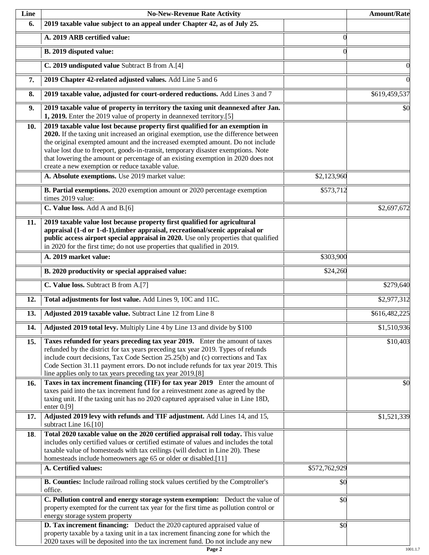| Line | <b>No-New-Revenue Rate Activity</b>                                                                                                                                                                                                                                                                                                                                                                                                                                                |               | <b>Amount/Rate</b> |
|------|------------------------------------------------------------------------------------------------------------------------------------------------------------------------------------------------------------------------------------------------------------------------------------------------------------------------------------------------------------------------------------------------------------------------------------------------------------------------------------|---------------|--------------------|
| 6.   | 2019 taxable value subject to an appeal under Chapter 42, as of July 25.                                                                                                                                                                                                                                                                                                                                                                                                           |               |                    |
|      | A. 2019 ARB certified value:                                                                                                                                                                                                                                                                                                                                                                                                                                                       | $\Omega$      |                    |
|      | B. 2019 disputed value:                                                                                                                                                                                                                                                                                                                                                                                                                                                            | 0             |                    |
|      | C. 2019 undisputed value Subtract B from A.[4]                                                                                                                                                                                                                                                                                                                                                                                                                                     |               |                    |
| 7.   | 2019 Chapter 42-related adjusted values. Add Line 5 and 6                                                                                                                                                                                                                                                                                                                                                                                                                          |               |                    |
| 8.   | 2019 taxable value, adjusted for court-ordered reductions. Add Lines 3 and 7                                                                                                                                                                                                                                                                                                                                                                                                       |               | \$619,459,537      |
| 9.   | 2019 taxable value of property in territory the taxing unit deannexed after Jan.<br>1, 2019. Enter the 2019 value of property in deannexed territory.[5]                                                                                                                                                                                                                                                                                                                           |               | \$0                |
| 10.  | 2019 taxable value lost because property first qualified for an exemption in<br>2020. If the taxing unit increased an original exemption, use the difference between<br>the original exempted amount and the increased exempted amount. Do not include<br>value lost due to freeport, goods-in-transit, temporary disaster exemptions. Note<br>that lowering the amount or percentage of an existing exemption in 2020 does not<br>create a new exemption or reduce taxable value. |               |                    |
|      | A. Absolute exemptions. Use 2019 market value:                                                                                                                                                                                                                                                                                                                                                                                                                                     | \$2,123,960   |                    |
|      | B. Partial exemptions. 2020 exemption amount or 2020 percentage exemption<br>times 2019 value:                                                                                                                                                                                                                                                                                                                                                                                     | \$573,712     |                    |
|      | C. Value loss. Add A and B.[6]                                                                                                                                                                                                                                                                                                                                                                                                                                                     |               | \$2,697,672        |
| 11.  | 2019 taxable value lost because property first qualified for agricultural<br>appraisal (1-d or 1-d-1), timber appraisal, recreational/scenic appraisal or<br>public access airport special appraisal in 2020. Use only properties that qualified<br>in 2020 for the first time; do not use properties that qualified in 2019.                                                                                                                                                      |               |                    |
|      | A. 2019 market value:                                                                                                                                                                                                                                                                                                                                                                                                                                                              | \$303,900     |                    |
|      | B. 2020 productivity or special appraised value:                                                                                                                                                                                                                                                                                                                                                                                                                                   | \$24,260      |                    |
|      | C. Value loss. Subtract B from A.[7]                                                                                                                                                                                                                                                                                                                                                                                                                                               |               | \$279,640          |
| 12.  | Total adjustments for lost value. Add Lines 9, 10C and 11C.                                                                                                                                                                                                                                                                                                                                                                                                                        |               | \$2,977,312        |
| 13.  | Adjusted 2019 taxable value. Subtract Line 12 from Line 8                                                                                                                                                                                                                                                                                                                                                                                                                          |               | \$616,482,225      |
| 14.  | Adjusted 2019 total levy. Multiply Line 4 by Line 13 and divide by \$100                                                                                                                                                                                                                                                                                                                                                                                                           |               | \$1,510,936        |
| 15.  | Taxes refunded for years preceding tax year 2019. Enter the amount of taxes<br>refunded by the district for tax years preceding tax year 2019. Types of refunds<br>include court decisions, Tax Code Section 25.25(b) and (c) corrections and Tax<br>Code Section 31.11 payment errors. Do not include refunds for tax year 2019. This<br>line applies only to tax years preceding tax year 2019.[8]                                                                               |               | \$10,403           |
| 16.  | Taxes in tax increment financing (TIF) for tax year 2019 Enter the amount of<br>taxes paid into the tax increment fund for a reinvestment zone as agreed by the<br>taxing unit. If the taxing unit has no 2020 captured appraised value in Line 18D,<br>enter $0.9$ ]                                                                                                                                                                                                              |               | \$0                |
| 17.  | Adjusted 2019 levy with refunds and TIF adjustment. Add Lines 14, and 15,<br>subtract Line 16.[10]                                                                                                                                                                                                                                                                                                                                                                                 |               | \$1,521,339        |
| 18.  | Total 2020 taxable value on the 2020 certified appraisal roll today. This value<br>includes only certified values or certified estimate of values and includes the total<br>taxable value of homesteads with tax ceilings (will deduct in Line 20). These<br>homesteads include homeowners age 65 or older or disabled.[11]                                                                                                                                                        |               |                    |
|      | A. Certified values:                                                                                                                                                                                                                                                                                                                                                                                                                                                               | \$572,762,929 |                    |
|      | B. Counties: Include railroad rolling stock values certified by the Comptroller's<br>office.                                                                                                                                                                                                                                                                                                                                                                                       | \$0           |                    |
|      | C. Pollution control and energy storage system exemption: Deduct the value of<br>property exempted for the current tax year for the first time as pollution control or<br>energy storage system property                                                                                                                                                                                                                                                                           | \$0           |                    |
|      | D. Tax increment financing: Deduct the 2020 captured appraised value of<br>property taxable by a taxing unit in a tax increment financing zone for which the<br>2020 taxes will be deposited into the tax increment fund. Do not include any new                                                                                                                                                                                                                                   | \$0           |                    |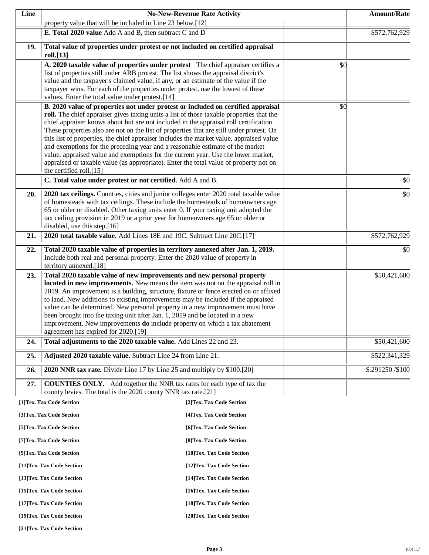| Line |                                                                                                                                                                           | <b>No-New-Revenue Rate Activity</b> |     | <b>Amount/Rate</b> |
|------|---------------------------------------------------------------------------------------------------------------------------------------------------------------------------|-------------------------------------|-----|--------------------|
|      | property value that will be included in Line 23 below.[12]                                                                                                                |                                     |     |                    |
|      | E. Total 2020 value Add A and B, then subtract C and D                                                                                                                    |                                     |     | \$572,762,929      |
| 19.  | Total value of properties under protest or not included on certified appraisal                                                                                            |                                     |     |                    |
|      | roll.[13]                                                                                                                                                                 |                                     |     |                    |
|      | A. 2020 taxable value of properties under protest The chief appraiser certifies a<br>list of properties still under ARB protest. The list shows the appraisal district's  |                                     | \$0 |                    |
|      | value and the taxpayer's claimed value, if any, or an estimate of the value if the                                                                                        |                                     |     |                    |
|      | taxpayer wins. For each of the properties under protest, use the lowest of these                                                                                          |                                     |     |                    |
|      | values. Enter the total value under protest.[14]<br>B. 2020 value of properties not under protest or included on certified appraisal                                      |                                     | \$0 |                    |
|      | roll. The chief appraiser gives taxing units a list of those taxable properties that the                                                                                  |                                     |     |                    |
|      | chief appraiser knows about but are not included in the appraisal roll certification.                                                                                     |                                     |     |                    |
|      | These properties also are not on the list of properties that are still under protest. On                                                                                  |                                     |     |                    |
|      | this list of properties, the chief appraiser includes the market value, appraised value<br>and exemptions for the preceding year and a reasonable estimate of the market  |                                     |     |                    |
|      | value, appraised value and exemptions for the current year. Use the lower market,                                                                                         |                                     |     |                    |
|      | appraised or taxable value (as appropriate). Enter the total value of property not on                                                                                     |                                     |     |                    |
|      | the certified roll.[15]<br>C. Total value under protest or not certified. Add A and B.                                                                                    |                                     |     | \$0                |
|      |                                                                                                                                                                           |                                     |     |                    |
| 20.  | 2020 tax ceilings. Counties, cities and junior colleges enter 2020 total taxable value<br>of homesteads with tax ceilings. These include the homesteads of homeowners age |                                     |     | \$0                |
|      | 65 or older or disabled. Other taxing units enter 0. If your taxing unit adopted the                                                                                      |                                     |     |                    |
|      | tax ceiling provision in 2019 or a prior year for homeowners age 65 or older or                                                                                           |                                     |     |                    |
|      | disabled, use this step.[16]                                                                                                                                              |                                     |     |                    |
| 21.  | 2020 total taxable value. Add Lines 18E and 19C. Subtract Line 20C.[17]                                                                                                   |                                     |     | \$572,762,929      |
| 22.  | Total 2020 taxable value of properties in territory annexed after Jan. 1, 2019.<br>Include both real and personal property. Enter the 2020 value of property in           |                                     |     | \$0                |
|      | territory annexed.[18]                                                                                                                                                    |                                     |     |                    |
| 23.  | Total 2020 taxable value of new improvements and new personal property                                                                                                    |                                     |     | \$50,421,600       |
|      | located in new improvements. New means the item was not on the appraisal roll in                                                                                          |                                     |     |                    |
|      | 2019. An improvement is a building, structure, fixture or fence erected on or affixed<br>to land. New additions to existing improvements may be included if the appraised |                                     |     |                    |
|      | value can be determined. New personal property in a new improvement must have                                                                                             |                                     |     |                    |
|      | been brought into the taxing unit after Jan. 1, 2019 and be located in a new                                                                                              |                                     |     |                    |
|      | improvement. New improvements <b>do</b> include property on which a tax abatement<br>agreement has expired for 2020.[19]                                                  |                                     |     |                    |
| 24.  | Total adjustments to the 2020 taxable value. Add Lines 22 and 23.                                                                                                         |                                     |     | \$50,421,600       |
| 25.  | Adjusted 2020 taxable value. Subtract Line 24 from Line 21.                                                                                                               |                                     |     | \$522,341,329      |
| 26.  | 2020 NNR tax rate. Divide Line 17 by Line 25 and multiply by \$100.[20]                                                                                                   |                                     |     | \$.291250/\$100    |
|      |                                                                                                                                                                           |                                     |     |                    |
| 27.  | <b>COUNTIES ONLY.</b> Add together the NNR tax rates for each type of tax the<br>county levies. The total is the 2020 county NNR tax rate.[21]                            |                                     |     |                    |
|      | [1]Tex. Tax Code Section                                                                                                                                                  | [2]Tex. Tax Code Section            |     |                    |
|      | [3]Tex. Tax Code Section                                                                                                                                                  | [4] Tex. Tax Code Section           |     |                    |
|      | [5]Tex. Tax Code Section                                                                                                                                                  | [6] Tex. Tax Code Section           |     |                    |
|      | [7] Tex. Tax Code Section                                                                                                                                                 | [8] Tex. Tax Code Section           |     |                    |
|      | [9]Tex. Tax Code Section                                                                                                                                                  | [10]Tex. Tax Code Section           |     |                    |
|      | [11]Tex. Tax Code Section                                                                                                                                                 | [12] Tex. Tax Code Section          |     |                    |
|      | [13] Tex. Tax Code Section                                                                                                                                                | [14] Tex. Tax Code Section          |     |                    |
|      | [15] Tex. Tax Code Section                                                                                                                                                | [16] Tex. Tax Code Section          |     |                    |
|      | [17] Tex. Tax Code Section                                                                                                                                                | [18] Tex. Tax Code Section          |     |                    |
|      | [19]Tex. Tax Code Section                                                                                                                                                 | [20]Tex. Tax Code Section           |     |                    |

**[21]Tex. Tax Code Section**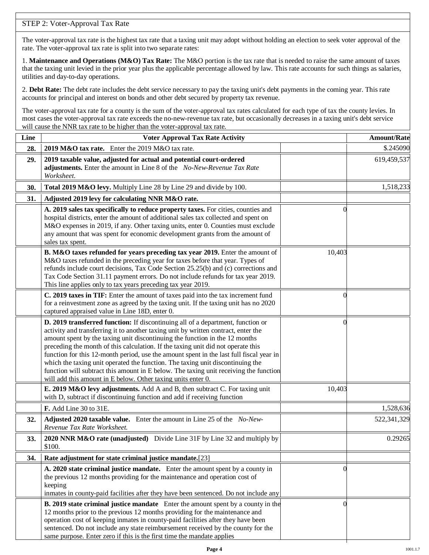# STEP 2: Voter-Approval Tax Rate

The voter-approval tax rate is the highest tax rate that a taxing unit may adopt without holding an election to seek voter approval of the rate. The voter-approval tax rate is split into two separate rates:

1. **Maintenance and Operations (M&O) Tax Rate:** The M&O portion is the tax rate that is needed to raise the same amount of taxes that the taxing unit levied in the prior year plus the applicable percentage allowed by law. This rate accounts for such things as salaries, utilities and day-to-day operations.

2. **Debt Rate:** The debt rate includes the debt service necessary to pay the taxing unit's debt payments in the coming year. This rate accounts for principal and interest on bonds and other debt secured by property tax revenue.

The voter-approval tax rate for a county is the sum of the voter-approval tax rates calculated for each type of tax the county levies. In most cases the voter-approval tax rate exceeds the no-new-revenue tax rate, but occasionally decreases in a taxing unit's debt service will cause the NNR tax rate to be higher than the voter-approval tax rate.

| Line | <b>Voter Approval Tax Rate Activity</b>                                                                                                                                                                                                                                                                                                                                                                                                                                                                                                                                                                                                                                        |          | <b>Amount/Rate</b> |
|------|--------------------------------------------------------------------------------------------------------------------------------------------------------------------------------------------------------------------------------------------------------------------------------------------------------------------------------------------------------------------------------------------------------------------------------------------------------------------------------------------------------------------------------------------------------------------------------------------------------------------------------------------------------------------------------|----------|--------------------|
| 28.  | 2019 M&O tax rate. Enter the 2019 M&O tax rate.                                                                                                                                                                                                                                                                                                                                                                                                                                                                                                                                                                                                                                |          | \$.245090          |
| 29.  | 2019 taxable value, adjusted for actual and potential court-ordered<br>adjustments. Enter the amount in Line 8 of the No-New-Revenue Tax Rate<br>Worksheet.                                                                                                                                                                                                                                                                                                                                                                                                                                                                                                                    |          | 619,459,537        |
| 30.  | Total 2019 M&O levy. Multiply Line 28 by Line 29 and divide by 100.                                                                                                                                                                                                                                                                                                                                                                                                                                                                                                                                                                                                            |          | 1,518,233          |
| 31.  | Adjusted 2019 levy for calculating NNR M&O rate.                                                                                                                                                                                                                                                                                                                                                                                                                                                                                                                                                                                                                               |          |                    |
|      | A. 2019 sales tax specifically to reduce property taxes. For cities, counties and<br>hospital districts, enter the amount of additional sales tax collected and spent on<br>M&O expenses in 2019, if any. Other taxing units, enter 0. Counties must exclude<br>any amount that was spent for economic development grants from the amount of<br>sales tax spent.                                                                                                                                                                                                                                                                                                               |          |                    |
|      | B. M&O taxes refunded for years preceding tax year 2019. Enter the amount of<br>M&O taxes refunded in the preceding year for taxes before that year. Types of<br>refunds include court decisions, Tax Code Section 25.25(b) and (c) corrections and<br>Tax Code Section 31.11 payment errors. Do not include refunds for tax year 2019.<br>This line applies only to tax years preceding tax year 2019.                                                                                                                                                                                                                                                                        | 10,403   |                    |
|      | C. 2019 taxes in TIF: Enter the amount of taxes paid into the tax increment fund<br>for a reinvestment zone as agreed by the taxing unit. If the taxing unit has no 2020<br>captured appraised value in Line 18D, enter 0.                                                                                                                                                                                                                                                                                                                                                                                                                                                     | 0        |                    |
|      | D. 2019 transferred function: If discontinuing all of a department, function or<br>activity and transferring it to another taxing unit by written contract, enter the<br>amount spent by the taxing unit discontinuing the function in the 12 months<br>preceding the month of this calculation. If the taxing unit did not operate this<br>function for this 12-month period, use the amount spent in the last full fiscal year in<br>which the taxing unit operated the function. The taxing unit discontinuing the<br>function will subtract this amount in E below. The taxing unit receiving the function<br>will add this amount in E below. Other taxing units enter 0. | $\Omega$ |                    |
|      | E. 2019 M&O levy adjustments. Add A and B, then subtract C. For taxing unit<br>with D, subtract if discontinuing function and add if receiving function                                                                                                                                                                                                                                                                                                                                                                                                                                                                                                                        | 10,403   |                    |
|      | F. Add Line 30 to 31E.                                                                                                                                                                                                                                                                                                                                                                                                                                                                                                                                                                                                                                                         |          | 1,528,636          |
| 32.  | Adjusted 2020 taxable value. Enter the amount in Line 25 of the No-New-<br>Revenue Tax Rate Worksheet.                                                                                                                                                                                                                                                                                                                                                                                                                                                                                                                                                                         |          | 522,341,329        |
| 33.  | 2020 NNR M&O rate (unadjusted) Divide Line 31F by Line 32 and multiply by<br>\$100.                                                                                                                                                                                                                                                                                                                                                                                                                                                                                                                                                                                            |          | 0.29265            |
| 34.  | Rate adjustment for state criminal justice mandate.[23]                                                                                                                                                                                                                                                                                                                                                                                                                                                                                                                                                                                                                        |          |                    |
|      | A. 2020 state criminal justice mandate. Enter the amount spent by a county in<br>the previous 12 months providing for the maintenance and operation cost of<br>keeping<br>inmates in county-paid facilities after they have been sentenced. Do not include any                                                                                                                                                                                                                                                                                                                                                                                                                 | 0        |                    |
|      | <b>B. 2019 state criminal justice mandate</b> Enter the amount spent by a county in the<br>12 months prior to the previous 12 months providing for the maintenance and<br>operation cost of keeping inmates in county-paid facilities after they have been<br>sentenced. Do not include any state reimbursement received by the county for the<br>same purpose. Enter zero if this is the first time the mandate applies                                                                                                                                                                                                                                                       | $\left($ |                    |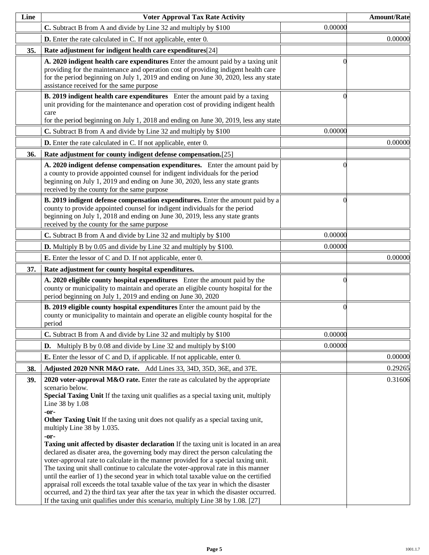| Line | <b>Voter Approval Tax Rate Activity</b>                                                                                                                                                                                                                                                                                                                                                                                                                                                                                                                                                                                                                                                                                                                                                                                                                                                                                                                                                                                                                                 |                | <b>Amount/Rate</b> |
|------|-------------------------------------------------------------------------------------------------------------------------------------------------------------------------------------------------------------------------------------------------------------------------------------------------------------------------------------------------------------------------------------------------------------------------------------------------------------------------------------------------------------------------------------------------------------------------------------------------------------------------------------------------------------------------------------------------------------------------------------------------------------------------------------------------------------------------------------------------------------------------------------------------------------------------------------------------------------------------------------------------------------------------------------------------------------------------|----------------|--------------------|
|      | C. Subtract B from A and divide by Line 32 and multiply by \$100                                                                                                                                                                                                                                                                                                                                                                                                                                                                                                                                                                                                                                                                                                                                                                                                                                                                                                                                                                                                        | 0.00000        |                    |
|      | <b>D.</b> Enter the rate calculated in C. If not applicable, enter 0.                                                                                                                                                                                                                                                                                                                                                                                                                                                                                                                                                                                                                                                                                                                                                                                                                                                                                                                                                                                                   |                | 0.00000            |
| 35.  | Rate adjustment for indigent health care expenditures[24]                                                                                                                                                                                                                                                                                                                                                                                                                                                                                                                                                                                                                                                                                                                                                                                                                                                                                                                                                                                                               |                |                    |
|      | A. 2020 indigent health care expenditures Enter the amount paid by a taxing unit<br>providing for the maintenance and operation cost of providing indigent health care<br>for the period beginning on July 1, 2019 and ending on June 30, 2020, less any state<br>assistance received for the same purpose                                                                                                                                                                                                                                                                                                                                                                                                                                                                                                                                                                                                                                                                                                                                                              |                |                    |
|      | B. 2019 indigent health care expenditures Enter the amount paid by a taxing<br>unit providing for the maintenance and operation cost of providing indigent health<br>care<br>for the period beginning on July 1, 2018 and ending on June 30, 2019, less any state                                                                                                                                                                                                                                                                                                                                                                                                                                                                                                                                                                                                                                                                                                                                                                                                       |                |                    |
|      | C. Subtract B from A and divide by Line 32 and multiply by \$100                                                                                                                                                                                                                                                                                                                                                                                                                                                                                                                                                                                                                                                                                                                                                                                                                                                                                                                                                                                                        | 0.00000        |                    |
|      | <b>D.</b> Enter the rate calculated in C. If not applicable, enter 0.                                                                                                                                                                                                                                                                                                                                                                                                                                                                                                                                                                                                                                                                                                                                                                                                                                                                                                                                                                                                   |                | 0.00000            |
| 36.  | Rate adjustment for county indigent defense compensation.[25]                                                                                                                                                                                                                                                                                                                                                                                                                                                                                                                                                                                                                                                                                                                                                                                                                                                                                                                                                                                                           |                |                    |
|      | A. 2020 indigent defense compensation expenditures. Enter the amount paid by<br>a county to provide appointed counsel for indigent individuals for the period<br>beginning on July 1, 2019 and ending on June 30, 2020, less any state grants<br>received by the county for the same purpose                                                                                                                                                                                                                                                                                                                                                                                                                                                                                                                                                                                                                                                                                                                                                                            | 0              |                    |
|      | B. 2019 indigent defense compensation expenditures. Enter the amount paid by a<br>county to provide appointed counsel for indigent individuals for the period<br>beginning on July 1, 2018 and ending on June 30, 2019, less any state grants<br>received by the county for the same purpose                                                                                                                                                                                                                                                                                                                                                                                                                                                                                                                                                                                                                                                                                                                                                                            | $\Omega$       |                    |
|      | C. Subtract B from A and divide by Line 32 and multiply by \$100                                                                                                                                                                                                                                                                                                                                                                                                                                                                                                                                                                                                                                                                                                                                                                                                                                                                                                                                                                                                        | 0.00000        |                    |
|      | <b>D.</b> Multiply B by 0.05 and divide by Line 32 and multiply by \$100.                                                                                                                                                                                                                                                                                                                                                                                                                                                                                                                                                                                                                                                                                                                                                                                                                                                                                                                                                                                               | 0.00000        |                    |
|      | <b>E.</b> Enter the lessor of C and D. If not applicable, enter 0.                                                                                                                                                                                                                                                                                                                                                                                                                                                                                                                                                                                                                                                                                                                                                                                                                                                                                                                                                                                                      |                | 0.00000            |
| 37.  | Rate adjustment for county hospital expenditures.                                                                                                                                                                                                                                                                                                                                                                                                                                                                                                                                                                                                                                                                                                                                                                                                                                                                                                                                                                                                                       |                |                    |
|      | A. 2020 eligible county hospital expenditures Enter the amount paid by the<br>county or municipality to maintain and operate an eligible county hospital for the<br>period beginning on July 1, 2019 and ending on June 30, 2020                                                                                                                                                                                                                                                                                                                                                                                                                                                                                                                                                                                                                                                                                                                                                                                                                                        | ſ              |                    |
|      | B. 2019 eligible county hospital expenditures Enter the amount paid by the<br>county or municipality to maintain and operate an eligible county hospital for the<br>period                                                                                                                                                                                                                                                                                                                                                                                                                                                                                                                                                                                                                                                                                                                                                                                                                                                                                              | $\overline{0}$ |                    |
|      | C. Subtract B from A and divide by Line 32 and multiply by \$100                                                                                                                                                                                                                                                                                                                                                                                                                                                                                                                                                                                                                                                                                                                                                                                                                                                                                                                                                                                                        | 0.00000        |                    |
|      | <b>D.</b> Multiply B by 0.08 and divide by Line 32 and multiply by $$100$                                                                                                                                                                                                                                                                                                                                                                                                                                                                                                                                                                                                                                                                                                                                                                                                                                                                                                                                                                                               | 0.00000        |                    |
|      | <b>E.</b> Enter the lessor of C and D, if applicable. If not applicable, enter 0.                                                                                                                                                                                                                                                                                                                                                                                                                                                                                                                                                                                                                                                                                                                                                                                                                                                                                                                                                                                       |                | 0.00000            |
| 38.  | Adjusted 2020 NNR M&O rate. Add Lines 33, 34D, 35D, 36E, and 37E.                                                                                                                                                                                                                                                                                                                                                                                                                                                                                                                                                                                                                                                                                                                                                                                                                                                                                                                                                                                                       |                | 0.29265            |
| 39.  | 2020 voter-approval M&O rate. Enter the rate as calculated by the appropriate<br>scenario below.<br>Special Taxing Unit If the taxing unit qualifies as a special taxing unit, multiply<br>Line 38 by 1.08<br>$-0r-$<br>Other Taxing Unit If the taxing unit does not qualify as a special taxing unit,<br>multiply Line 38 by 1.035.<br>-or-<br>Taxing unit affected by disaster declaration If the taxing unit is located in an area<br>declared as disater area, the governing body may direct the person calculating the<br>voter-approval rate to calculate in the manner provided for a special taxing unit.<br>The taxing unit shall continue to calculate the voter-approval rate in this manner<br>until the earlier of 1) the second year in which total taxable value on the certified<br>appraisal roll exceeds the total taxable value of the tax year in which the disaster<br>occurred, and 2) the third tax year after the tax year in which the disaster occurred.<br>If the taxing unit qualifies under this scenario, multiply Line 38 by 1.08. [27] |                | 0.31606            |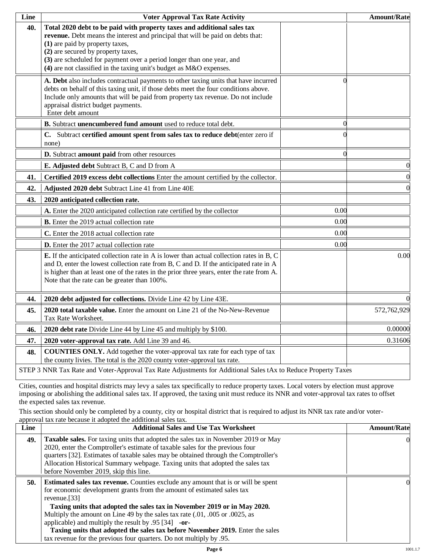| Line | <b>Voter Approval Tax Rate Activity</b>                                                                                                                                                                                                                                                                                                                                             |                | <b>Amount/Rate</b> |
|------|-------------------------------------------------------------------------------------------------------------------------------------------------------------------------------------------------------------------------------------------------------------------------------------------------------------------------------------------------------------------------------------|----------------|--------------------|
| 40.  | Total 2020 debt to be paid with property taxes and additional sales tax<br>revenue. Debt means the interest and principal that will be paid on debts that:<br>(1) are paid by property taxes,<br>(2) are secured by property taxes,<br>(3) are scheduled for payment over a period longer than one year, and<br>(4) are not classified in the taxing unit's budget as M&O expenses. |                |                    |
|      | A. Debt also includes contractual payments to other taxing units that have incurred<br>debts on behalf of this taxing unit, if those debts meet the four conditions above.<br>Include only amounts that will be paid from property tax revenue. Do not include<br>appraisal district budget payments.<br>Enter debt amount                                                          | $\Omega$       |                    |
|      | B. Subtract unencumbered fund amount used to reduce total debt.                                                                                                                                                                                                                                                                                                                     | $\overline{0}$ |                    |
|      | C. Subtract certified amount spent from sales tax to reduce debt(enter zero if<br>none)                                                                                                                                                                                                                                                                                             |                |                    |
|      | D. Subtract amount paid from other resources                                                                                                                                                                                                                                                                                                                                        | $\Omega$       |                    |
|      | E. Adjusted debt Subtract B, C and D from A                                                                                                                                                                                                                                                                                                                                         |                | $\boldsymbol{0}$   |
| 41.  | Certified 2019 excess debt collections Enter the amount certified by the collector.                                                                                                                                                                                                                                                                                                 |                | $\boldsymbol{0}$   |
| 42.  | Adjusted 2020 debt Subtract Line 41 from Line 40E                                                                                                                                                                                                                                                                                                                                   |                | $\overline{0}$     |
| 43.  | 2020 anticipated collection rate.                                                                                                                                                                                                                                                                                                                                                   |                |                    |
|      | A. Enter the 2020 anticipated collection rate certified by the collector                                                                                                                                                                                                                                                                                                            | 0.00           |                    |
|      | <b>B.</b> Enter the 2019 actual collection rate                                                                                                                                                                                                                                                                                                                                     | 0.00           |                    |
|      | C. Enter the 2018 actual collection rate                                                                                                                                                                                                                                                                                                                                            | 0.00           |                    |
|      | <b>D.</b> Enter the 2017 actual collection rate                                                                                                                                                                                                                                                                                                                                     | 0.00           |                    |
|      | <b>E.</b> If the anticipated collection rate in A is lower than actual collection rates in B, C<br>and D, enter the lowest collection rate from B, C and D. If the anticipated rate in A<br>is higher than at least one of the rates in the prior three years, enter the rate from A.<br>Note that the rate can be greater than 100%.                                               |                | 0.00               |
| 44.  | 2020 debt adjusted for collections. Divide Line 42 by Line 43E.                                                                                                                                                                                                                                                                                                                     |                |                    |
| 45.  | 2020 total taxable value. Enter the amount on Line 21 of the No-New-Revenue<br>Tax Rate Worksheet.                                                                                                                                                                                                                                                                                  |                | 572,762,929        |
| 46.  | 2020 debt rate Divide Line 44 by Line 45 and multiply by \$100.                                                                                                                                                                                                                                                                                                                     |                | 0.00000            |
| 47.  | 2020 voter-approval tax rate. Add Line 39 and 46.                                                                                                                                                                                                                                                                                                                                   |                | 0.31606            |
| 48.  | <b>COUNTIES ONLY.</b> Add together the voter-approval tax rate for each type of tax<br>the county livies. The total is the 2020 county voter-approval tax rate.                                                                                                                                                                                                                     |                |                    |
|      | STEP 3 NNR Tax Rate and Voter-Approval Tax Rate Adjustments for Additional Sales tAx to Reduce Property Taxes                                                                                                                                                                                                                                                                       |                |                    |

Cities, counties and hospital districts may levy a sales tax specifically to reduce property taxes. Local voters by election must approve imposing or abolishing the additional sales tax. If approved, the taxing unit must reduce its NNR and voter-approval tax rates to offset the expected sales tax revenue.

This section should only be completed by a county, city or hospital district that is required to adjust its NNR tax rate and/or voterapproval tax rate because it adopted the additional sales tax.

| Line | <b>Additional Sales and Use Tax Worksheet</b>                                            | <b>Amount/Rate</b> |
|------|------------------------------------------------------------------------------------------|--------------------|
| 49.  | Taxable sales. For taxing units that adopted the sales tax in November 2019 or May       |                    |
|      | 2020, enter the Comptroller's estimate of taxable sales for the previous four            |                    |
|      | quarters [32]. Estimates of taxable sales may be obtained through the Comptroller's      |                    |
|      | Allocation Historical Summary webpage. Taxing units that adopted the sales tax           |                    |
|      | before November 2019, skip this line.                                                    |                    |
| 50.  | <b>Estimated sales tax revenue.</b> Counties exclude any amount that is or will be spent |                    |
|      | for economic development grants from the amount of estimated sales tax                   |                    |
|      | revenue.[33]                                                                             |                    |
|      | Taxing units that adopted the sales tax in November 2019 or in May 2020.                 |                    |
|      | Multiply the amount on Line 49 by the sales tax rate (.01, .005 or .0025, as             |                    |
|      | applicable) and multiply the result by $.95$ [34] -or-                                   |                    |
|      | Taxing units that adopted the sales tax before November 2019. Enter the sales            |                    |
|      | tax revenue for the previous four quarters. Do not multiply by 0.95.                     |                    |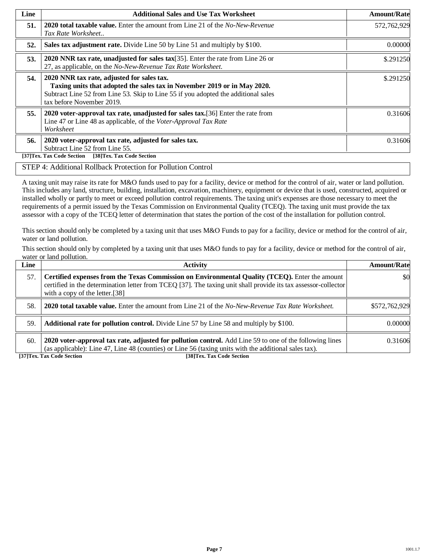| Line | <b>Additional Sales and Use Tax Worksheet</b>                                                                                                                                                                                             | <b>Amount/Rate</b> |
|------|-------------------------------------------------------------------------------------------------------------------------------------------------------------------------------------------------------------------------------------------|--------------------|
| 51.  | <b>2020 total taxable value.</b> Enter the amount from Line 21 of the <i>No-New-Revenue</i><br>Tax Rate Worksheet                                                                                                                         | 572,762,929        |
| 52.  | Sales tax adjustment rate. Divide Line 50 by Line 51 and multiply by \$100.                                                                                                                                                               | 0.00000            |
| 53.  | 2020 NNR tax rate, unadjusted for sales tax $[35]$ . Enter the rate from Line 26 or<br>27, as applicable, on the No-New-Revenue Tax Rate Worksheet.                                                                                       | \$.291250          |
| 54.  | 2020 NNR tax rate, adjusted for sales tax.<br>Taxing units that adopted the sales tax in November 2019 or in May 2020.<br>Subtract Line 52 from Line 53. Skip to Line 55 if you adopted the additional sales<br>tax before November 2019. | \$.291250          |
| 55.  | 2020 voter-approval tax rate, unadjusted for sales tax. [36] Enter the rate from<br>Line 47 or Line 48 as applicable, of the Voter-Approval Tax Rate<br>Worksheet                                                                         | 0.31606            |
| 56.  | 2020 voter-approval tax rate, adjusted for sales tax.<br>Subtract Line 52 from Line 55.<br>[38]Tex. Tax Code Section<br>[37]Tex. Tax Code Section                                                                                         | 0.31606            |

### STEP 4: Additional Rollback Protection for Pollution Control

A taxing unit may raise its rate for M&O funds used to pay for a facility, device or method for the control of air, water or land pollution. This includes any land, structure, building, installation, excavation, machinery, equipment or device that is used, constructed, acquired or installed wholly or partly to meet or exceed pollution control requirements. The taxing unit's expenses are those necessary to meet the requirements of a permit issued by the Texas Commission on Environmental Quality (TCEQ). The taxing unit must provide the tax assessor with a copy of the TCEQ letter of determination that states the portion of the cost of the installation for pollution control.

This section should only be completed by a taxing unit that uses M&O Funds to pay for a facility, device or method for the control of air, water or land pollution.

This section should only by completed by a taxing unit that uses M&O funds to pay for a facility, device or method for the control of air, water or land pollution.

| Line | <b>Activity</b>                                                                                                                                                                                                                                    | <b>Amount/Rate</b> |
|------|----------------------------------------------------------------------------------------------------------------------------------------------------------------------------------------------------------------------------------------------------|--------------------|
| 57.  | Certified expenses from the Texas Commission on Environmental Quality (TCEQ). Enter the amount<br>certified in the determination letter from TCEQ [37]. The taxing unit shall provide its tax assessor-collector<br>with a copy of the letter.[38] | \$0                |
| .58. | <b>2020 total taxable value.</b> Enter the amount from Line 21 of the No-New-Revenue Tax Rate Worksheet.                                                                                                                                           | \$572,762,929      |
| 59.  | <b>Additional rate for pollution control.</b> Divide Line 57 by Line 58 and multiply by \$100.                                                                                                                                                     | 0.00000            |
| 60.  | 2020 voter-approval tax rate, adjusted for pollution control. Add Line 59 to one of the following lines<br>(as applicable): Line 47, Line 48 (counties) or Line 56 (taxing units with the additional sales tax).                                   | 0.31606            |

**[37]Tex. Tax Code Section [38]Tex. Tax Code Section**